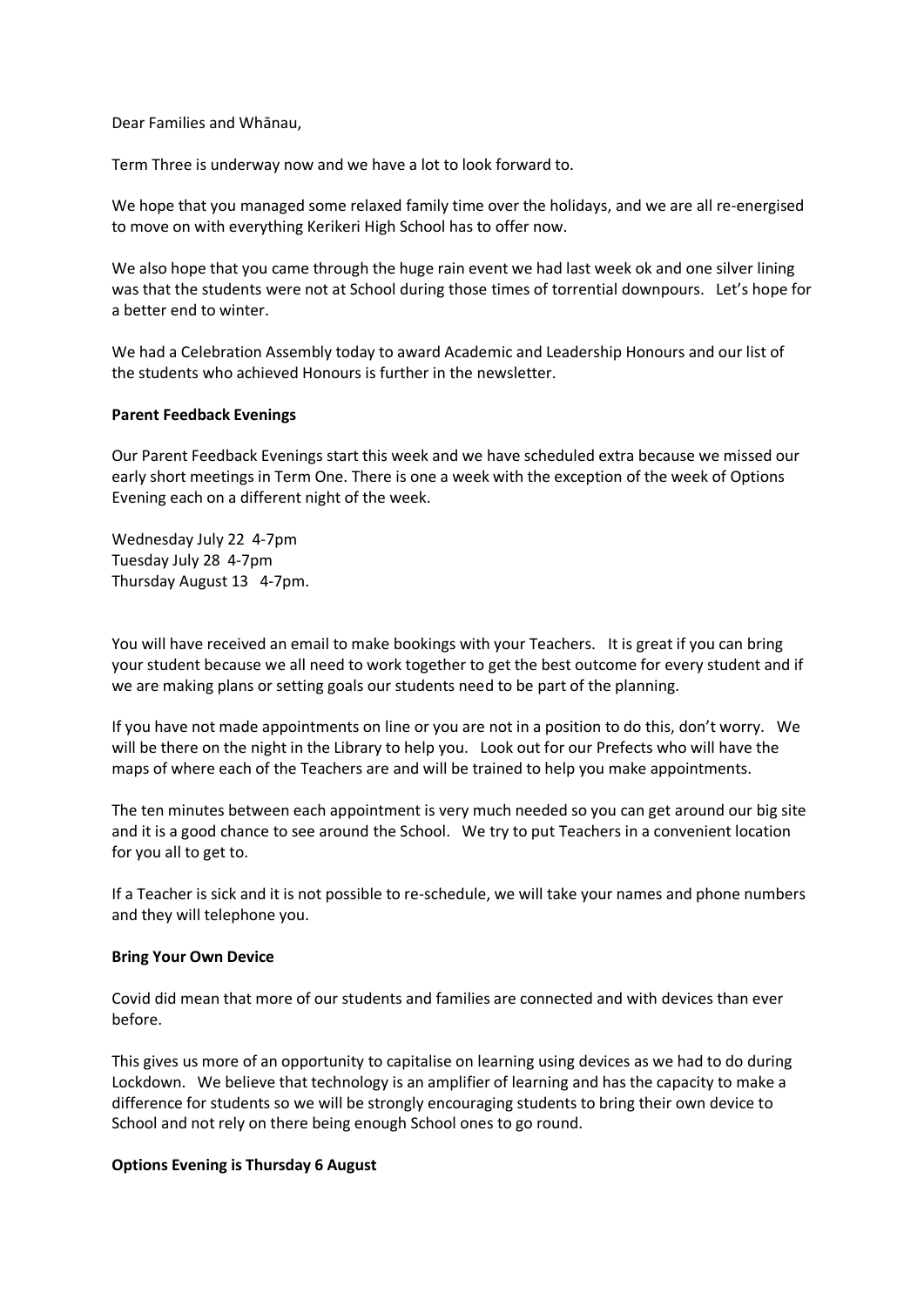Dear Families and Whānau,

Term Three is underway now and we have a lot to look forward to.

We hope that you managed some relaxed family time over the holidays, and we are all re-energised to move on with everything Kerikeri High School has to offer now.

We also hope that you came through the huge rain event we had last week ok and one silver lining was that the students were not at School during those times of torrential downpours. Let's hope for a better end to winter.

We had a Celebration Assembly today to award Academic and Leadership Honours and our list of the students who achieved Honours is further in the newsletter.

## **Parent Feedback Evenings**

Our Parent Feedback Evenings start this week and we have scheduled extra because we missed our early short meetings in Term One. There is one a week with the exception of the week of Options Evening each on a different night of the week.

Wednesday July 22 4-7pm Tuesday July 28 4-7pm Thursday August 13 4-7pm.

You will have received an email to make bookings with your Teachers. It is great if you can bring your student because we all need to work together to get the best outcome for every student and if we are making plans or setting goals our students need to be part of the planning.

If you have not made appointments on line or you are not in a position to do this, don't worry. We will be there on the night in the Library to help you. Look out for our Prefects who will have the maps of where each of the Teachers are and will be trained to help you make appointments.

The ten minutes between each appointment is very much needed so you can get around our big site and it is a good chance to see around the School. We try to put Teachers in a convenient location for you all to get to.

If a Teacher is sick and it is not possible to re-schedule, we will take your names and phone numbers and they will telephone you.

#### **Bring Your Own Device**

Covid did mean that more of our students and families are connected and with devices than ever before.

This gives us more of an opportunity to capitalise on learning using devices as we had to do during Lockdown. We believe that technology is an amplifier of learning and has the capacity to make a difference for students so we will be strongly encouraging students to bring their own device to School and not rely on there being enough School ones to go round.

#### **Options Evening is Thursday 6 August**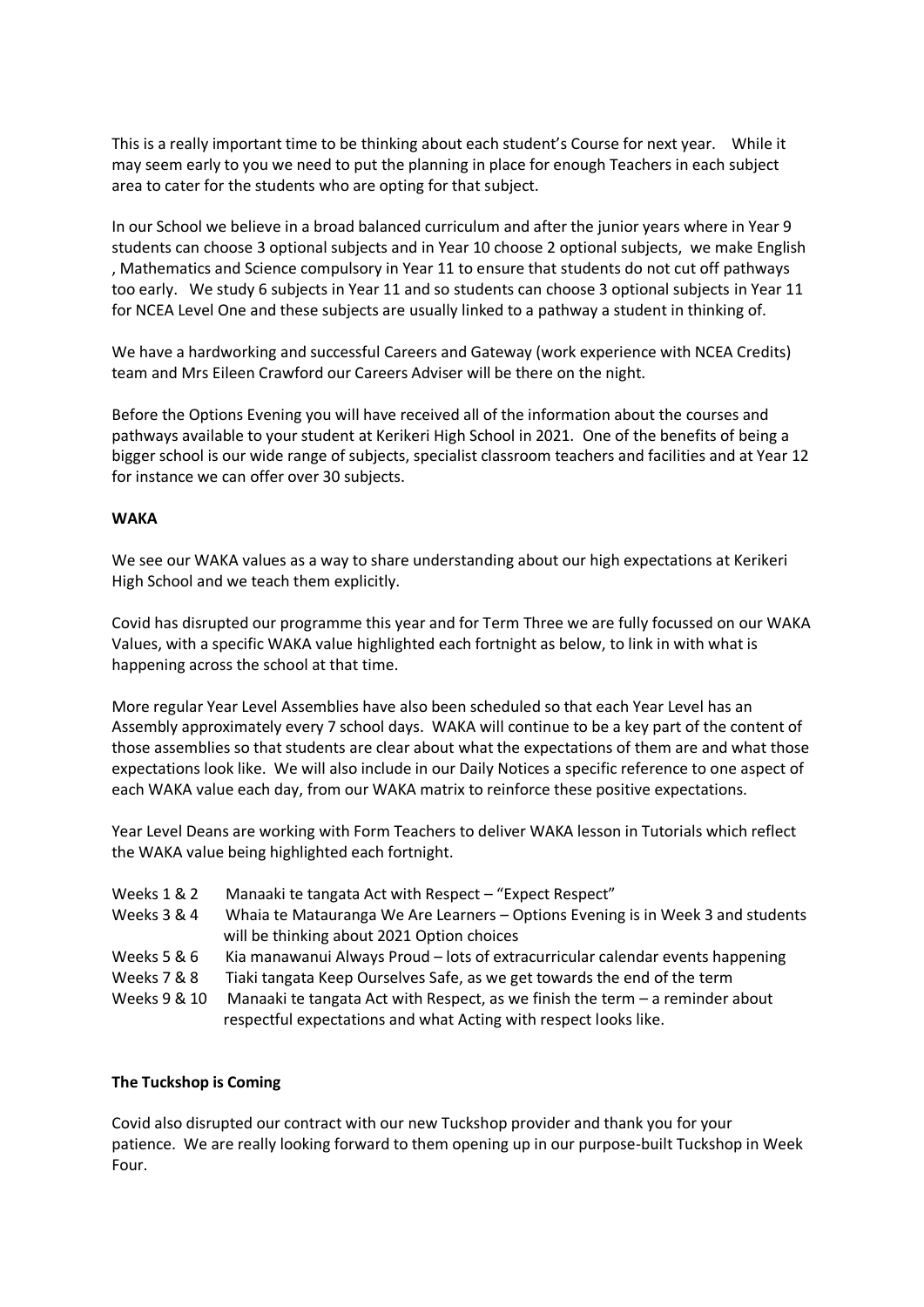This is a really important time to be thinking about each student's Course for next year. While it may seem early to you we need to put the planning in place for enough Teachers in each subject area to cater for the students who are opting for that subject.

In our School we believe in a broad balanced curriculum and after the junior years where in Year 9 students can choose 3 optional subjects and in Year 10 choose 2 optional subjects, we make English , Mathematics and Science compulsory in Year 11 to ensure that students do not cut off pathways too early. We study 6 subjects in Year 11 and so students can choose 3 optional subjects in Year 11 for NCEA Level One and these subjects are usually linked to a pathway a student in thinking of.

We have a hardworking and successful Careers and Gateway (work experience with NCEA Credits) team and Mrs Eileen Crawford our Careers Adviser will be there on the night.

Before the Options Evening you will have received all of the information about the courses and pathways available to your student at Kerikeri High School in 2021. One of the benefits of being a bigger school is our wide range of subjects, specialist classroom teachers and facilities and at Year 12 for instance we can offer over 30 subjects.

# **WAKA**

We see our WAKA values as a way to share understanding about our high expectations at Kerikeri High School and we teach them explicitly.

Covid has disrupted our programme this year and for Term Three we are fully focussed on our WAKA Values, with a specific WAKA value highlighted each fortnight as below, to link in with what is happening across the school at that time.

More regular Year Level Assemblies have also been scheduled so that each Year Level has an Assembly approximately every 7 school days. WAKA will continue to be a key part of the content of those assemblies so that students are clear about what the expectations of them are and what those expectations look like. We will also include in our Daily Notices a specific reference to one aspect of each WAKA value each day, from our WAKA matrix to reinforce these positive expectations.

Year Level Deans are working with Form Teachers to deliver WAKA lesson in Tutorials which reflect the WAKA value being highlighted each fortnight.

- Weeks 1 & 2 Manaaki te tangata Act with Respect "Expect Respect"
- Weeks 3 & 4 Whaia te Matauranga We Are Learners Options Evening is in Week 3 and students will be thinking about 2021 Option choices
- Weeks 5 & 6 Kia manawanui Always Proud lots of extracurricular calendar events happening
- Weeks 7 & 8 Tiaki tangata Keep Ourselves Safe, as we get towards the end of the term
- Weeks 9 & 10 Manaaki te tangata Act with Respect, as we finish the term a reminder about respectful expectations and what Acting with respect looks like.

# **The Tuckshop is Coming**

Covid also disrupted our contract with our new Tuckshop provider and thank you for your patience. We are really looking forward to them opening up in our purpose-built Tuckshop in Week Four.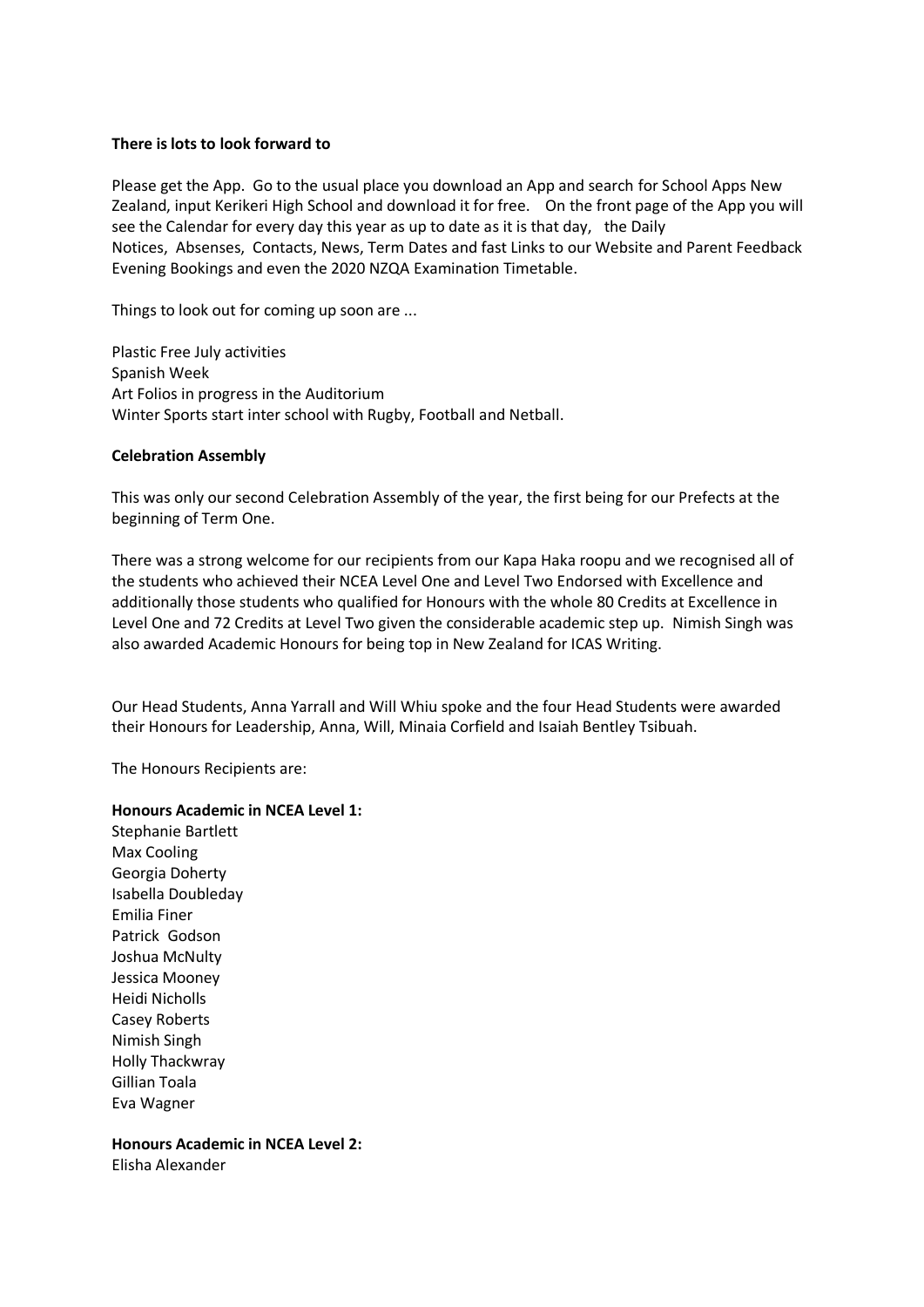## **There is lots to look forward to**

Please get the App. Go to the usual place you download an App and search for School Apps New Zealand, input Kerikeri High School and download it for free. On the front page of the App you will see the Calendar for every day this year as up to date as it is that day, the Daily Notices, Absenses, Contacts, News, Term Dates and fast Links to our Website and Parent Feedback Evening Bookings and even the 2020 NZQA Examination Timetable.

Things to look out for coming up soon are ...

Plastic Free July activities Spanish Week Art Folios in progress in the Auditorium Winter Sports start inter school with Rugby, Football and Netball.

## **Celebration Assembly**

This was only our second Celebration Assembly of the year, the first being for our Prefects at the beginning of Term One.

There was a strong welcome for our recipients from our Kapa Haka roopu and we recognised all of the students who achieved their NCEA Level One and Level Two Endorsed with Excellence and additionally those students who qualified for Honours with the whole 80 Credits at Excellence in Level One and 72 Credits at Level Two given the considerable academic step up. Nimish Singh was also awarded Academic Honours for being top in New Zealand for ICAS Writing.

Our Head Students, Anna Yarrall and Will Whiu spoke and the four Head Students were awarded their Honours for Leadership, Anna, Will, Minaia Corfield and Isaiah Bentley Tsibuah.

The Honours Recipients are:

#### **Honours Academic in NCEA Level 1:**

Stephanie Bartlett Max Cooling Georgia Doherty Isabella Doubleday Emilia Finer Patrick Godson Joshua McNulty Jessica Mooney Heidi Nicholls Casey Roberts Nimish Singh Holly Thackwray Gillian Toala Eva Wagner

**Honours Academic in NCEA Level 2:**

Elisha Alexander